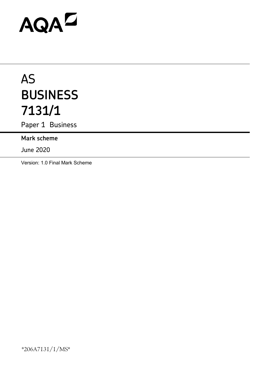# AQAD

# AS **BUSINESS 7131/1**

Paper 1 Business

**Mark scheme**

June 2020

Version: 1.0 Final Mark Scheme

\*206A7131/1/MS\*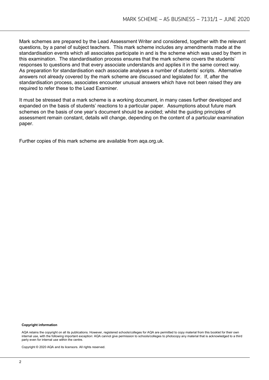Mark schemes are prepared by the Lead Assessment Writer and considered, together with the relevant questions, by a panel of subject teachers. This mark scheme includes any amendments made at the standardisation events which all associates participate in and is the scheme which was used by them in this examination. The standardisation process ensures that the mark scheme covers the students' responses to questions and that every associate understands and applies it in the same correct way. As preparation for standardisation each associate analyses a number of students' scripts. Alternative answers not already covered by the mark scheme are discussed and legislated for. If, after the standardisation process, associates encounter unusual answers which have not been raised they are required to refer these to the Lead Examiner.

It must be stressed that a mark scheme is a working document, in many cases further developed and expanded on the basis of students' reactions to a particular paper. Assumptions about future mark schemes on the basis of one year's document should be avoided; whilst the guiding principles of assessment remain constant, details will change, depending on the content of a particular examination paper.

Further copies of this mark scheme are available from aqa.org.uk.

#### **Copyright information**

AQA retains the copyright on all its publications. However, registered schools/colleges for AQA are permitted to copy material from this booklet for their own internal use, with the following important exception: AQA cannot give permission to schools/colleges to photocopy any material that is acknowledged to a third party even for internal use within the centre.

Copyright © 2020 AQA and its licensors. All rights reserved.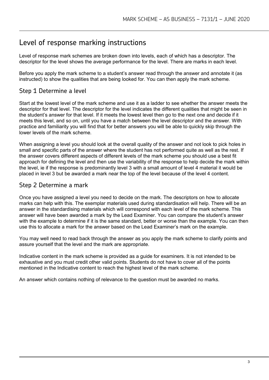# Level of response marking instructions

Level of response mark schemes are broken down into levels, each of which has a descriptor. The descriptor for the level shows the average performance for the level. There are marks in each level.

Before you apply the mark scheme to a student's answer read through the answer and annotate it (as instructed) to show the qualities that are being looked for. You can then apply the mark scheme.

# Step 1 Determine a level

Start at the lowest level of the mark scheme and use it as a ladder to see whether the answer meets the descriptor for that level. The descriptor for the level indicates the different qualities that might be seen in the student's answer for that level. If it meets the lowest level then go to the next one and decide if it meets this level, and so on, until you have a match between the level descriptor and the answer. With practice and familiarity you will find that for better answers you will be able to quickly skip through the lower levels of the mark scheme.

When assigning a level you should look at the overall quality of the answer and not look to pick holes in small and specific parts of the answer where the student has not performed quite as well as the rest. If the answer covers different aspects of different levels of the mark scheme you should use a best fit approach for defining the level and then use the variability of the response to help decide the mark within the level, ie if the response is predominantly level 3 with a small amount of level 4 material it would be placed in level 3 but be awarded a mark near the top of the level because of the level 4 content.

# Step 2 Determine a mark

Once you have assigned a level you need to decide on the mark. The descriptors on how to allocate marks can help with this. The exemplar materials used during standardisation will help. There will be an answer in the standardising materials which will correspond with each level of the mark scheme. This answer will have been awarded a mark by the Lead Examiner. You can compare the student's answer with the example to determine if it is the same standard, better or worse than the example. You can then use this to allocate a mark for the answer based on the Lead Examiner's mark on the example.

You may well need to read back through the answer as you apply the mark scheme to clarify points and assure yourself that the level and the mark are appropriate.

Indicative content in the mark scheme is provided as a guide for examiners. It is not intended to be exhaustive and you must credit other valid points. Students do not have to cover all of the points mentioned in the Indicative content to reach the highest level of the mark scheme.

An answer which contains nothing of relevance to the question must be awarded no marks.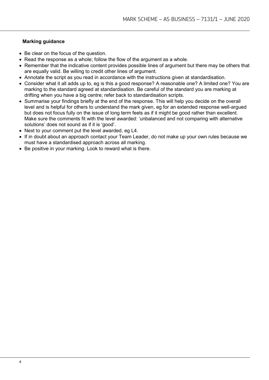# **Marking guidance**

- Be clear on the focus of the question.
- Read the response as a whole; follow the flow of the argument as a whole.
- Remember that the indicative content provides possible lines of argument but there may be others that are equally valid. Be willing to credit other lines of argument.
- Annotate the script as you read in accordance with the instructions given at standardisation.
- Consider what it all adds up to, eg is this a good response? A reasonable one? A limited one? You are marking to the standard agreed at standardisation. Be careful of the standard you are marking at drifting when you have a big centre; refer back to standardisation scripts.
- Summarise your findings briefly at the end of the response. This will help you decide on the overall level and is helpful for others to understand the mark given, eg for an extended response well-argued but does not focus fully on the issue of long term feels as if it might be good rather than excellent. Make sure the comments fit with the level awarded: 'unbalanced and not comparing with alternative solutions' does not sound as if it is 'good'.
- Next to your comment put the level awarded, eg L4.
- If in doubt about an approach contact your Team Leader, do not make up your own rules because we must have a standardised approach across all marking.
- Be positive in your marking. Look to reward what is there.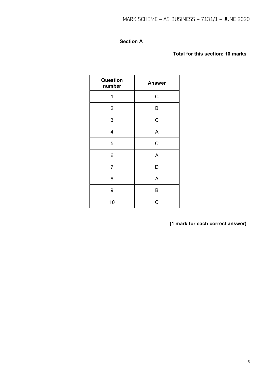# **Section A**

# **Total for this section: 10 marks**

| Question<br>number | <b>Answer</b> |
|--------------------|---------------|
| 1                  | $\mathsf C$   |
| $\overline{2}$     | B             |
| 3                  | $\mathsf C$   |
| 4                  | A             |
| 5                  | $\mathsf C$   |
| 6                  | A             |
| $\overline{7}$     | D             |
| 8                  | A             |
| 9                  | B             |
| 10                 | C             |

**(1 mark for each correct answer)**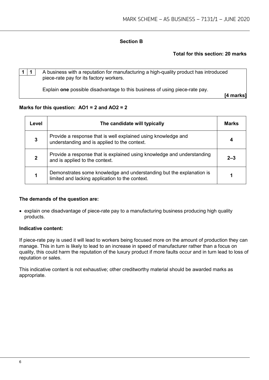# **Section B**

# **Total for this section: 20 marks**

**1 1** A business with a reputation for manufacturing a high-quality product has introduced piece-rate pay for its factory workers.

Explain **one** possible disadvantage to this business of using piece-rate pay.

**[4 marks]**

# **Marks for this question: AO1 = 2 and AO2 = 2**

| Level | The candidate will typically                                                                                            | <b>Marks</b> |
|-------|-------------------------------------------------------------------------------------------------------------------------|--------------|
|       | Provide a response that is well explained using knowledge and<br>understanding and is applied to the context.           |              |
|       | Provide a response that is explained using knowledge and understanding<br>and is applied to the context.                | $2 - 3$      |
|       | Demonstrates some knowledge and understanding but the explanation is<br>limited and lacking application to the context. |              |

# **The demands of the question are:**

• explain one disadvantage of piece-rate pay to a manufacturing business producing high quality products.

# **Indicative content:**

If piece-rate pay is used it will lead to workers being focused more on the amount of production they can manage. This in turn is likely to lead to an increase in speed of manufacturer rather than a focus on quality, this could harm the reputation of the luxury product if more faults occur and in turn lead to loss of reputation or sales.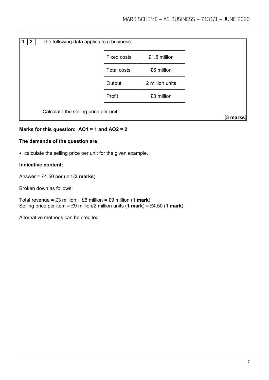| $\mathbf{2}$ | The following data applies to a business: |                    |                 |           |
|--------------|-------------------------------------------|--------------------|-----------------|-----------|
|              |                                           | <b>Fixed costs</b> | £1.5 million    |           |
|              |                                           | <b>Total costs</b> | £6 million      |           |
|              |                                           | Output             | 2 million units |           |
|              |                                           | Profit             | £3 million      |           |
|              | Calculate the selling price per unit.     |                    |                 | [3 marks] |

# **Marks for this question: AO1 = 1 and AO2 = 2**

# **The demands of the question are:**

• calculate the selling price per unit for the given example.

# **Indicative content:**

Answer = £4.50 per unit (**3 marks**)

Broken down as follows:

Total revenue = £3 million + £6 million = £9 million (**1 mark**) Selling price per item = £9 million/2 million units  $(1 \text{ mark}) = £4.50$   $(1 \text{ mark})$ 

Alternative methods can be credited.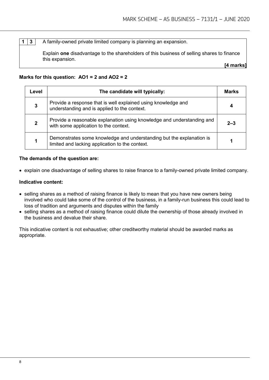**1 3** A family-owned private limited company is planning an expansion.

Explain **one** disadvantage to the shareholders of this business of selling shares to finance this expansion.

**[4 marks]**

# **Marks for this question: AO1 = 2 and AO2 = 2**

| Level | The candidate will typically:                                                                                           | <b>Marks</b> |
|-------|-------------------------------------------------------------------------------------------------------------------------|--------------|
|       | Provide a response that is well explained using knowledge and<br>understanding and is applied to the context.           |              |
| 2     | Provide a reasonable explanation using knowledge and understanding and<br>with some application to the context.         | $2 - 3$      |
|       | Demonstrates some knowledge and understanding but the explanation is<br>limited and lacking application to the context. |              |

# **The demands of the question are:**

• explain one disadvantage of selling shares to raise finance to a family-owned private limited company.

# **Indicative content:**

- selling shares as a method of raising finance is likely to mean that you have new owners being involved who could take some of the control of the business, in a family-run business this could lead to loss of tradition and arguments and disputes within the family
- selling shares as a method of raising finance could dilute the ownership of those already involved in the business and devalue their share.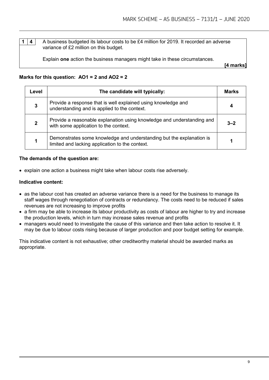**1** | **4** | A business budgeted its labour costs to be £4 million for 2019. It recorded an adverse variance of £2 million on this budget.

Explain **one** action the business managers might take in these circumstances.

**[4 marks]**

# **Marks for this question: AO1 = 2 and AO2 = 2**

| Level | The candidate will typically:                                                                                           | <b>Marks</b> |
|-------|-------------------------------------------------------------------------------------------------------------------------|--------------|
|       | Provide a response that is well explained using knowledge and<br>understanding and is applied to the context.           |              |
|       | Provide a reasonable explanation using knowledge and understanding and<br>with some application to the context.         | $3 - 2$      |
|       | Demonstrates some knowledge and understanding but the explanation is<br>limited and lacking application to the context. |              |

# **The demands of the question are:**

• explain one action a business might take when labour costs rise adversely.

# **Indicative content:**

- as the labour cost has created an adverse variance there is a need for the business to manage its staff wages through renegotiation of contracts or redundancy. The costs need to be reduced if sales revenues are not increasing to improve profits
- a firm may be able to increase its labour productivity as costs of labour are higher to try and increase the production levels, which in turn may increase sales revenue and profits
- managers would need to investigate the cause of this variance and then take action to resolve it. It may be due to labour costs rising because of larger production and poor budget setting for example.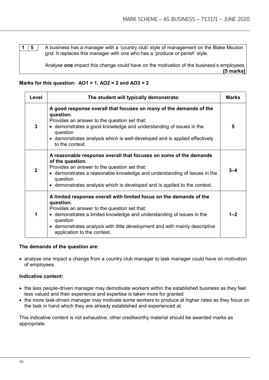**1 5** A business has a manager with a 'country club' style of management on the Blake Mouton grid. It replaces this manager with one who has a 'produce or perish' style.

> Analyse **one** impact this change could have on the motivation of the business's employees. **[5 marks]**

# **Marks for this question: AO1 = 1, AO2 = 2 and AO3 = 2**

| Level        | The student will typically demonstrate:                                                                                                                                                                                                                                                                                             |         |
|--------------|-------------------------------------------------------------------------------------------------------------------------------------------------------------------------------------------------------------------------------------------------------------------------------------------------------------------------------------|---------|
| 3            | A good response overall that focuses on many of the demands of the<br>question.<br>Provides an answer to the question set that:<br>• demonstrates a good knowledge and understanding of issues in the<br>question<br>• demonstrates analysis which is well-developed and is applied effectively<br>to the context.                  | 5       |
| $\mathbf{2}$ | A reasonable response overall that focuses on some of the demands<br>of the question.<br>Provides an answer to the question set that:<br>• demonstrates a reasonable knowledge and understanding of issues in the<br>question<br>• demonstrates analysis which is developed and is applied to the context.                          | $3 - 4$ |
| 1            | A limited response overall with limited focus on the demands of the<br>question.<br>Provides an answer to the question set that:<br>• demonstrates a limited knowledge and understanding of issues in the<br>question<br>• demonstrates analysis with little development and with mainly descriptive<br>application to the context. | $1 - 2$ |

# **The demands of the question are:**

• analyse one impact a change from a country club manager to task manager could have on motivation of employees.

# **Indicative content:**

- the less people-driven manager may demotivate workers within the established business as they feel less valued and their experience and expertise is taken more for granted
- the more task-driven manager may motivate some workers to produce at higher rates as they focus on the task in hand which they are already established and experienced at.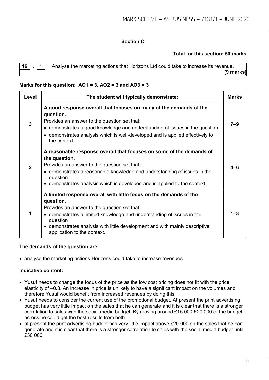# **Section C**

# **Total for this section: 50 marks**

**1** Analyse the marketing actions that Horizons Ltd could take to increase its revenue. **[9 marks]**

# **Marks for this question: AO1 = 3, AO2 = 3 and AO3 = 3**

| Level        | The student will typically demonstrate:                                                                                                                                                                                                                                                                                            | <b>Marks</b> |
|--------------|------------------------------------------------------------------------------------------------------------------------------------------------------------------------------------------------------------------------------------------------------------------------------------------------------------------------------------|--------------|
| 3            | A good response overall that focuses on many of the demands of the<br>question.<br>Provides an answer to the question set that:<br>• demonstrates a good knowledge and understanding of issues in the question<br>• demonstrates analysis which is well-developed and is applied effectively to<br>the context.                    | $7 - 9$      |
| $\mathbf{2}$ | A reasonable response overall that focuses on some of the demands of<br>the question.<br>Provides an answer to the question set that:<br>• demonstrates a reasonable knowledge and understanding of issues in the<br>question<br>• demonstrates analysis which is developed and is applied to the context.                         | 4-R          |
| 1            | A limited response overall with little focus on the demands of the<br>question.<br>Provides an answer to the question set that:<br>• demonstrates a limited knowledge and understanding of issues in the<br>question<br>• demonstrates analysis with little development and with mainly descriptive<br>application to the context. | $1 - 3$      |

# **The demands of the question are:**

• analyse the marketing actions Horizons could take to increase revenues.

# **Indicative content:**

- Yusuf needs to change the focus of the price as the low cost pricing does not fit with the price elasticity of –0.3. An increase in price is unlikely to have a significant impact on the volumes and therefore Yusuf would benefit from increased revenues by doing this
- Yusuf needs to consider the current use of the promotional budget. At present the print advertising budget has very little impact on the sales that he can generate and it is clear that there is a stronger correlation to sales with the social media budget. By moving around £15 000-£20 000 of the budget across he could get the best results from both
- at present the print advertising budget has very little impact above £20 000 on the sales that he can generate and it is clear that there is a stronger correlation to sales with the social media budget until £30 000.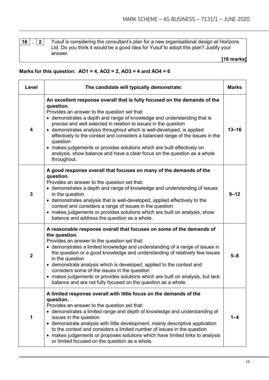answer.

**16 . 2** Yusuf is considering the consultant's plan for a new organisational design at Horizons Ltd. Do you think it would be a good idea for Yusuf to adopt this plan? Justify your

**[16 marks]**

# **Marks for this question: AO1 = 4, AO2 = 2, AO3 = 4 and AO4 = 6**

| Level       | The candidate will typically demonstrate:                                                                                                                                                                                                                                                                                                                                                                                                                                                                                                                                                                                          |           |  |
|-------------|------------------------------------------------------------------------------------------------------------------------------------------------------------------------------------------------------------------------------------------------------------------------------------------------------------------------------------------------------------------------------------------------------------------------------------------------------------------------------------------------------------------------------------------------------------------------------------------------------------------------------------|-----------|--|
| 4           | An excellent response overall that is fully focused on the demands of the<br>question.<br>Provides an answer to the question set that:<br>• demonstrates a depth and range of knowledge and understanding that is<br>precise and well selected in relation to issues in the question<br>• demonstrates analysis throughout which is well-developed, is applied<br>effectively to the context and considers a balanced range of the issues in the<br>question<br>• makes judgements or provides solutions which are built effectively on<br>analysis, show balance and have a clear focus on the question as a whole<br>throughout. | $13 - 16$ |  |
| 3           | A good response overall that focuses on many of the demands of the<br>question.<br>Provides an answer to the question set that:<br>• demonstrates a depth and range of knowledge and understanding of issues<br>in the question<br>• demonstrates analysis that is well-developed, applied effectively to the<br>context and considers a range of issues in the question<br>• makes judgements or provides solutions which are built on analysis, show<br>balance and address the question as a whole.                                                                                                                             | $9 - 12$  |  |
| $\mathbf 2$ | A reasonable response overall that focuses on some of the demands of<br>the question.<br>Provides an answer to the question set that:<br>• demonstrates a limited knowledge and understanding of a range of issues in<br>the question or a good knowledge and understanding of relatively few issues<br>in the question<br>• demonstrate analysis which is developed, applied to the context and<br>considers some of the issues in the question<br>• makes judgements or provides solutions which are built on analysis, but lack<br>balance and are not fully focused on the question as a whole.                                | $5 - 8$   |  |
| 1           | A limited response overall with little focus on the demands of the<br>question.<br>Provides an answer to the question set that:<br>• demonstrates a limited range and depth of knowledge and understanding of<br>issues in the question<br>• demonstrate analysis with little development, mainly descriptive application<br>to the context and considers a limited number of issues in the question<br>• makes judgements or proposes solutions which have limited links to analysis<br>or limited focused on the question as a whole.                                                                                            | 1-4       |  |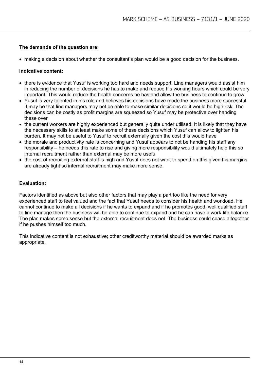# **The demands of the question are:**

• making a decision about whether the consultant's plan would be a good decision for the business.

# **Indicative content:**

- there is evidence that Yusuf is working too hard and needs support. Line managers would assist him in reducing the number of decisions he has to make and reduce his working hours which could be very important. This would reduce the health concerns he has and allow the business to continue to grow
- Yusuf is very talented in his role and believes his decisions have made the business more successful. It may be that line managers may not be able to make similar decisions so it would be high risk. The decisions can be costly as profit margins are squeezed so Yusuf may be protective over handing these over
- the current workers are highly experienced but generally quite under utilised. It is likely that they have the necessary skills to at least make some of these decisions which Yusuf can allow to lighten his burden. It may not be useful to Yusuf to recruit externally given the cost this would have
- the morale and productivity rate is concerning and Yusuf appears to not be handing his staff any responsibility – he needs this rate to rise and giving more responsibility would ultimately help this so internal recruitment rather than external may be more useful
- the cost of recruiting external staff is high and Yusuf does not want to spend on this given his margins are already tight so internal recruitment may make more sense.

# **Evaluation:**

Factors identified as above but also other factors that may play a part too like the need for very experienced staff to feel valued and the fact that Yusuf needs to consider his health and workload. He cannot continue to make all decisions if he wants to expand and if he promotes good, well qualified staff to line manage then the business will be able to continue to expand and he can have a work-life balance. The plan makes some sense but the external recruitment does not. The business could cease altogether if he pushes himself too much.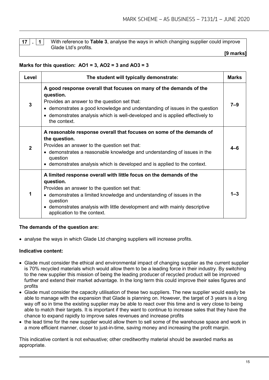**17 . 1** With reference to **Table 3**, analyse the ways in which changing supplier could improve Glade Ltd's profits.

#### **[9 marks]**

# **Marks for this question: AO1 = 3, AO2 = 3 and AO3 = 3**

| Level        | The student will typically demonstrate:                                                                                                                                                                                                                                                                                                       | <b>Marks</b> |
|--------------|-----------------------------------------------------------------------------------------------------------------------------------------------------------------------------------------------------------------------------------------------------------------------------------------------------------------------------------------------|--------------|
| 3            | A good response overall that focuses on many of the demands of the<br>question.<br>Provides an answer to the question set that:<br>• demonstrates a good knowledge and understanding of issues in the question<br>• demonstrates analysis which is well-developed and is applied effectively to<br>the context.                               | $7 - 9$      |
| $\mathbf{2}$ | A reasonable response overall that focuses on some of the demands of<br>the question.<br>Provides an answer to the question set that:<br>• demonstrates a reasonable knowledge and understanding of issues in the<br>question<br>demonstrates analysis which is developed and is applied to the context.                                      | 4-6          |
|              | A limited response overall with little focus on the demands of the<br>question.<br>Provides an answer to the question set that:<br>• demonstrates a limited knowledge and understanding of issues in the<br>question<br>demonstrates analysis with little development and with mainly descriptive<br>$\bullet$<br>application to the context. | $1 - 3$      |

# **The demands of the question are:**

• analyse the ways in which Glade Ltd changing suppliers will increase profits.

# **Indicative content:**

- Glade must consider the ethical and environmental impact of changing supplier as the current supplier is 70% recycled materials which would allow them to be a leading force in their industry. By switching to the new supplier this mission of being the leading producer of recycled product will be improved further and extend their market advantage. In the long term this could improve their sales figures and profits
- Glade must consider the capacity utilisation of these two suppliers. The new supplier would easily be able to manage with the expansion that Glade is planning on. However, the target of 3 years is a long way off so in time the existing supplier may be able to react over this time and is very close to being able to match their targets. It is important if they want to continue to increase sales that they have the chance to expand rapidly to improve sales revenues and increase profits
- the lead time for the new supplier would allow them to sell some of the warehouse space and work in a more efficient manner, closer to just-in-time, saving money and increasing the profit margin.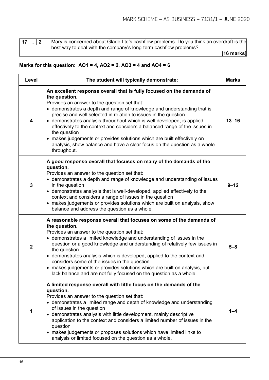**17 . 2** Mary is concerned about Glade Ltd's cashflow problems. Do you think an overdraft is the best way to deal with the company's long-term cashflow problems?

**[16 marks]**

# **Marks for this question: AO1 = 4, AO2 = 2, AO3 = 4 and AO4 = 6**

| Level                   | The student will typically demonstrate:                                                                                                                                                                                                                                                                                                                                                                                                                                                                                                                                                                                            |           |  |
|-------------------------|------------------------------------------------------------------------------------------------------------------------------------------------------------------------------------------------------------------------------------------------------------------------------------------------------------------------------------------------------------------------------------------------------------------------------------------------------------------------------------------------------------------------------------------------------------------------------------------------------------------------------------|-----------|--|
| 4                       | An excellent response overall that is fully focused on the demands of<br>the question.<br>Provides an answer to the question set that:<br>• demonstrates a depth and range of knowledge and understanding that is<br>precise and well selected in relation to issues in the question<br>• demonstrates analysis throughout which is well developed, is applied<br>effectively to the context and considers a balanced range of the issues in<br>the question<br>• makes judgements or provides solutions which are built effectively on<br>analysis, show balance and have a clear focus on the question as a whole<br>throughout. | $13 - 16$ |  |
| 3                       | A good response overall that focuses on many of the demands of the<br>question.<br>Provides an answer to the question set that:<br>• demonstrates a depth and range of knowledge and understanding of issues<br>in the question<br>• demonstrates analysis that is well-developed, applied effectively to the<br>context and considers a range of issues in the question<br>• makes judgements or provides solutions which are built on analysis, show<br>balance and address the question as a whole.                                                                                                                             | 9–12      |  |
| $\overline{\mathbf{2}}$ | A reasonable response overall that focuses on some of the demands of<br>the question.<br>Provides an answer to the question set that:<br>• demonstrates a limited knowledge and understanding of issues in the<br>question or a good knowledge and understanding of relatively few issues in<br>the question<br>• demonstrates analysis which is developed, applied to the context and<br>considers some of the issues in the question<br>• makes judgements or provides solutions which are built on analysis, but<br>lack balance and are not fully focused on the question as a whole.                                          | $5 - 8$   |  |
| 1                       | A limited response overall with little focus on the demands of the<br>question.<br>Provides an answer to the question set that:<br>• demonstrates a limited range and depth of knowledge and understanding<br>of issues in the question<br>• demonstrates analysis with little development, mainly descriptive<br>application to the context and considers a limited number of issues in the<br>question<br>• makes judgements or proposes solutions which have limited links to<br>analysis or limited focused on the question as a whole.                                                                                        |           |  |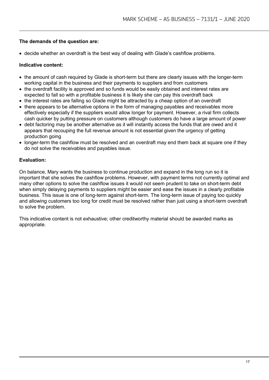# **The demands of the question are:**

• decide whether an overdraft is the best way of dealing with Glade's cashflow problems.

# **Indicative content:**

- the amount of cash required by Glade is short-term but there are clearly issues with the longer-term working capital in the business and their payments to suppliers and from customers
- the overdraft facility is approved and so funds would be easily obtained and interest rates are expected to fall so with a profitable business it is likely she can pay this overdraft back
- the interest rates are falling so Glade might be attracted by a cheap option of an overdraft
- there appears to be alternative options in the form of managing payables and receivables more effectively especially if the suppliers would allow longer for payment. However, a rival firm collects cash quicker by putting pressure on customers although customers do have a large amount of power
- debt factoring may be another alternative as it will instantly access the funds that are owed and it appears that recouping the full revenue amount is not essential given the urgency of getting production going
- longer-term the cashflow must be resolved and an overdraft may end them back at square one if they do not solve the receivables and payables issue.

# **Evaluation:**

On balance, Mary wants the business to continue production and expand in the long run so it is important that she solves the cashflow problems. However, with payment terms not currently optimal and many other options to solve the cashflow issues it would not seem prudent to take on short-term debt when simply delaying payments to suppliers might be easier and ease the issues in a clearly profitable business. This issue is one of long-term against short-term. The long-term issue of paying too quickly and allowing customers too long for credit must be resolved rather than just using a short-term overdraft to solve the problem.